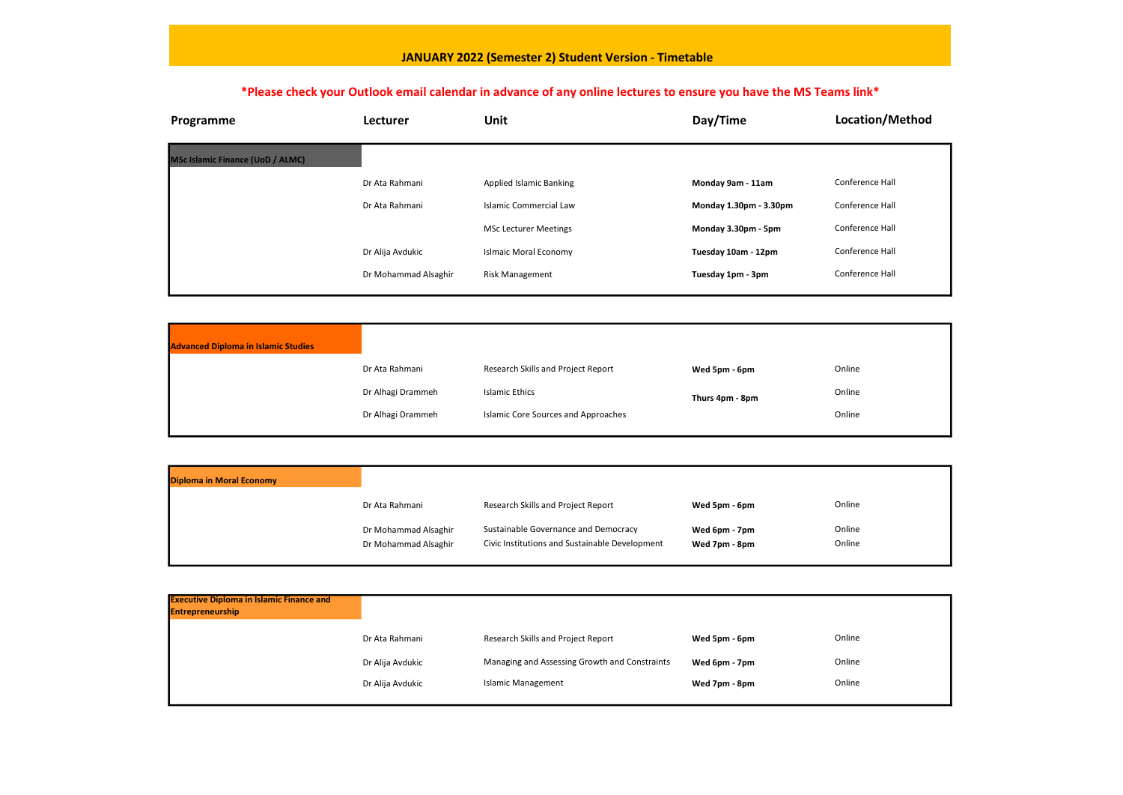| Programme                               | Lecturer             | <b>Unit</b>                    | Day/Time               | Location/M      |
|-----------------------------------------|----------------------|--------------------------------|------------------------|-----------------|
| <b>MSc Islamic Finance (UoD / ALMC)</b> |                      |                                |                        |                 |
|                                         | Dr Ata Rahmani       | <b>Applied Islamic Banking</b> | Monday 9am - 11am      | Conference Hall |
|                                         | Dr Ata Rahmani       | <b>Islamic Commercial Law</b>  | Monday 1.30pm - 3.30pm | Conference Hall |
|                                         |                      | <b>MSc Lecturer Meetings</b>   | Monday 3.30pm - 5pm    | Conference Hall |
|                                         | Dr Alija Avdukic     | <b>Islmaic Moral Economy</b>   | Tuesday 10am - 12pm    | Conference Hall |
|                                         | Dr Mohammad Alsaghir | <b>Risk Management</b>         | Tuesday 1pm - 3pm      | Conference Hall |

| <b>Diploma in Moral Economy</b> |                      |                                                |               |        |
|---------------------------------|----------------------|------------------------------------------------|---------------|--------|
|                                 | Dr Ata Rahmani       | Research Skills and Project Report             | Wed 5pm - 6pm | Online |
|                                 | Dr Mohammad Alsaghir | Sustainable Governance and Democracy           | Wed 6pm - 7pm | Online |
|                                 | Dr Mohammad Alsaghir | Civic Institutions and Sustainable Development | Wed 7pm - 8pm | Online |
|                                 |                      |                                                |               |        |

| <b>Advanced Diploma in Islamic Studies</b> |                   |                                     |                 |        |
|--------------------------------------------|-------------------|-------------------------------------|-----------------|--------|
|                                            | Dr Ata Rahmani    | Research Skills and Project Report  | Wed 5pm - 6pm   | Online |
|                                            | Dr Alhagi Drammeh | Islamic Ethics                      | Thurs 4pm - 8pm | Online |
|                                            | Dr Alhagi Drammeh | Islamic Core Sources and Approaches |                 | Online |
|                                            |                   |                                     |                 |        |

| <b>Executive Diploma in Islamic Finance and</b><br><b>Entrepreneurship</b> |                  |                                               |               |        |
|----------------------------------------------------------------------------|------------------|-----------------------------------------------|---------------|--------|
|                                                                            | Dr Ata Rahmani   | Research Skills and Project Report            | Wed 5pm - 6pm | Online |
|                                                                            | Dr Alija Avdukic | Managing and Assessing Growth and Constraints | Wed 6pm - 7pm | Online |
|                                                                            | Dr Alija Avdukic | <b>Islamic Management</b>                     | Wed 7pm - 8pm | Online |
|                                                                            |                  |                                               |               |        |

## pcation/Method

- 
- 
- nference Hall
- 
- 

- 
- 
- 
- 
- 
- 
- 
- 
- 

## JANUARY 2022 (Semester 2) Student Version - Timetable

## \*Please check your Outlook email calendar in advance of any online lectures to ensure you have the MS Teams link\*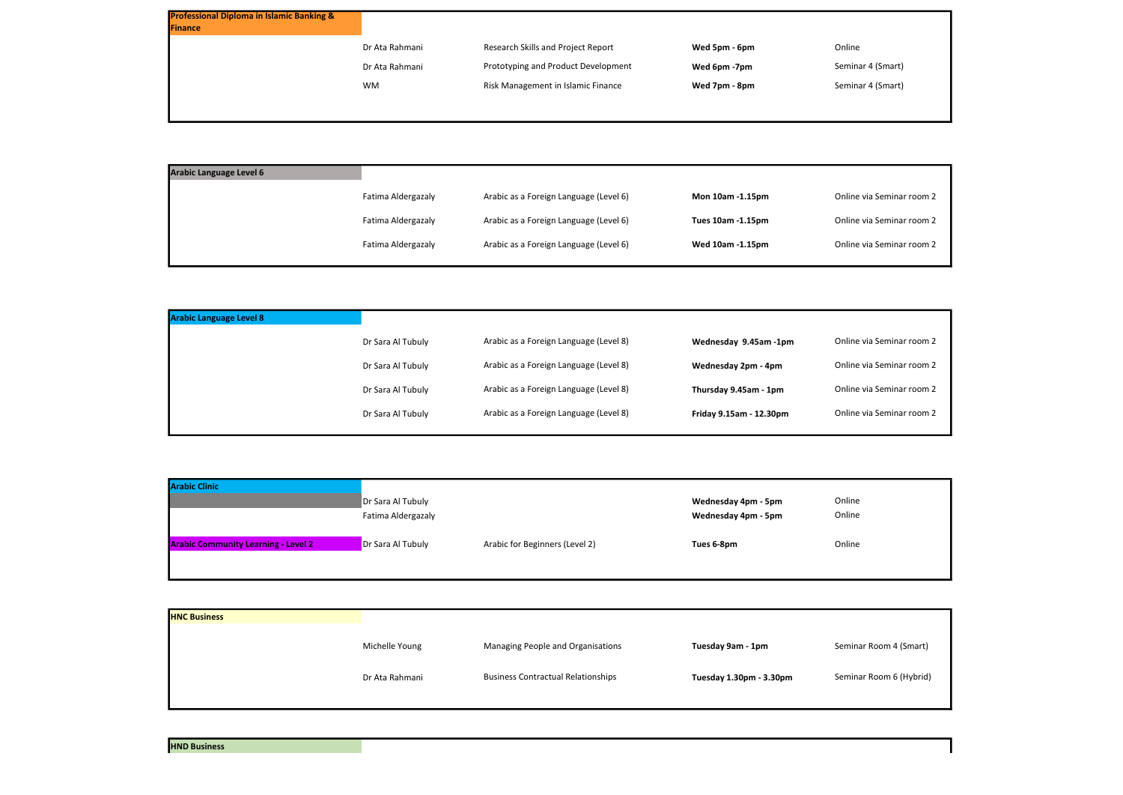| <b>Professional Diploma in Islamic Banking &amp;</b><br>Finance |                |                                     |               |        |
|-----------------------------------------------------------------|----------------|-------------------------------------|---------------|--------|
|                                                                 | Dr Ata Rahmani | Research Skills and Project Report  | Wed 5pm - 6pm | Online |
|                                                                 | Dr Ata Rahmani | Prototyping and Product Development | Wed 6pm -7pm  | Semina |
|                                                                 | <b>WM</b>      | Risk Management in Islamic Finance  | Wed 7pm - 8pm | Semina |
|                                                                 |                |                                     |               |        |

| <b>Arabic Language Level 6</b> |                    |                                        |                   |      |
|--------------------------------|--------------------|----------------------------------------|-------------------|------|
|                                | Fatima Aldergazaly | Arabic as a Foreign Language (Level 6) | Mon 10am -1.15pm  | Onli |
|                                | Fatima Aldergazaly | Arabic as a Foreign Language (Level 6) | Tues 10am -1.15pm | Onli |
|                                | Fatima Aldergazaly | Arabic as a Foreign Language (Level 6) | Wed 10am -1.15pm  | Onl  |
|                                |                    |                                        |                   |      |

| <b>Arabic Language Level 8</b> |                   |                                        |                         |      |
|--------------------------------|-------------------|----------------------------------------|-------------------------|------|
|                                | Dr Sara Al Tubuly | Arabic as a Foreign Language (Level 8) | Wednesday 9.45am -1pm   | Onli |
|                                | Dr Sara Al Tubuly | Arabic as a Foreign Language (Level 8) | Wednesday 2pm - 4pm     | Onl  |
|                                | Dr Sara Al Tubuly | Arabic as a Foreign Language (Level 8) | Thursday 9.45am - 1pm   | Onl  |
|                                | Dr Sara Al Tubuly | Arabic as a Foreign Language (Level 8) | Friday 9.15am - 12.30pm | Onl  |
|                                |                   |                                        |                         |      |

| <b>Arabic Clinic</b>                       |                    |                                |                     |        |
|--------------------------------------------|--------------------|--------------------------------|---------------------|--------|
|                                            | Dr Sara Al Tubuly  |                                | Wednesday 4pm - 5pm | Online |
|                                            | Fatima Aldergazaly |                                | Wednesday 4pm - 5pm | Online |
| <b>Arabic Community Learning - Level 2</b> | Dr Sara Al Tubuly  | Arabic for Beginners (Level 2) | Tues 6-8pm          | Online |
|                                            |                    |                                |                     |        |

| <b>HNC Business</b> |                |                                           |                         |      |
|---------------------|----------------|-------------------------------------------|-------------------------|------|
|                     | Michelle Young | Managing People and Organisations         | Tuesday 9am - 1pm       | Semi |
|                     | Dr Ata Rahmani | <b>Business Contractual Relationships</b> | Tuesday 1.30pm - 3.30pm | Semi |
|                     |                |                                           |                         |      |

- 
- minar 4 (Smart)
- minar 4 (Smart)

- line via Seminar room 2
- line via Seminar room 2
- line via Seminar room 2

- line via Seminar room 2
- line via Seminar room 2
- line via Seminar room 2
- line via Seminar room 2

inar Room 4 (Smart)

ninar Room 6 (Hybrid)